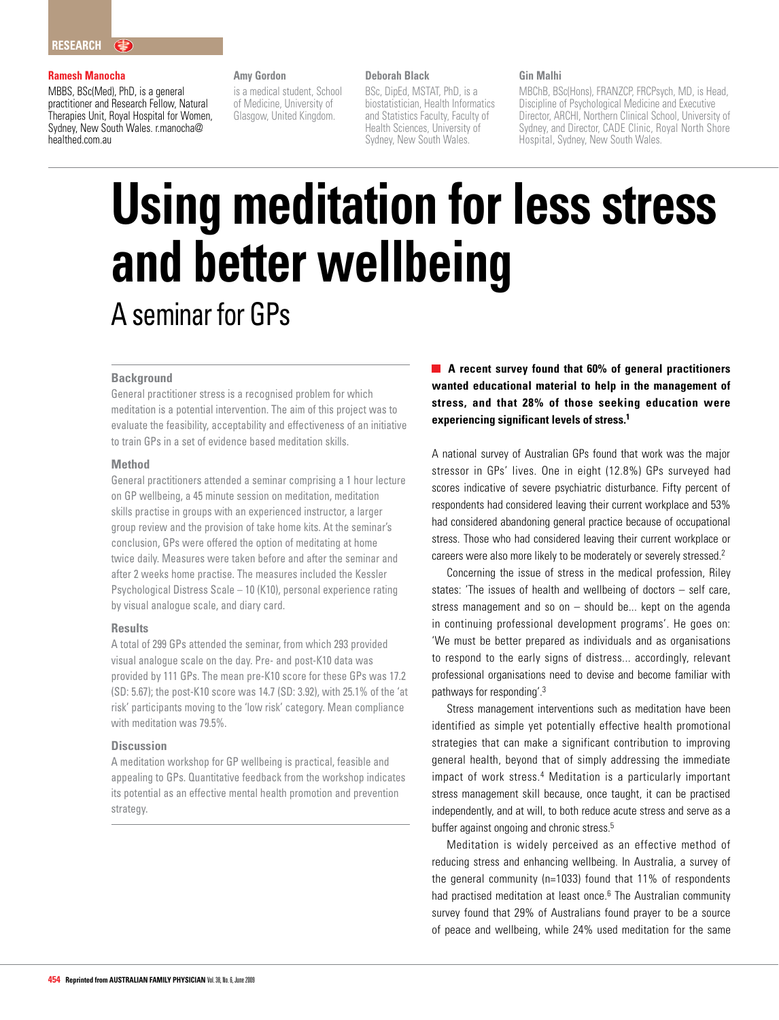#### **Ramesh Manocha**

MBBS, BSc(Med), PhD, is a general practitioner and Research Fellow, Natural Therapies Unit, Royal Hospital for Women, Sydney, New South Wales. r.manocha@ healthed.com.au

#### **Amy Gordon**

is a medical student, School of Medicine, University of Glasgow, United Kingdom.

#### **Deborah Black**

BSc, DipEd, MSTAT, PhD, is a biostatistician, Health Informatics and Statistics Faculty, Faculty of Health Sciences, University of Sydney, New South Wales.

#### **Gin Malhi**

MBChB, BSc(Hons), FRANZCP, FRCPsych, MD, is Head, Discipline of Psychological Medicine and Executive Director, ARCHI, Northern Clinical School, University of Sydney, and Director, CADE Clinic, Royal North Shore Hospital, Sydney, New South Wales.

# **Using meditation for less stress and better wellbeing** A seminar for GPs

#### **Background**

General practitioner stress is a recognised problem for which meditation is a potential intervention. The aim of this project was to evaluate the feasibility, acceptability and effectiveness of an initiative to train GPs in a set of evidence based meditation skills.

#### **Method**

General practitioners attended a seminar comprising a 1 hour lecture on GP wellbeing, a 45 minute session on meditation, meditation skills practise in groups with an experienced instructor, a larger group review and the provision of take home kits. At the seminar's conclusion, GPs were offered the option of meditating at home twice daily. Measures were taken before and after the seminar and after 2 weeks home practise. The measures included the Kessler Psychological Distress Scale – 10 (K10), personal experience rating by visual analogue scale, and diary card.

#### **Results**

A total of 299 GPs attended the seminar, from which 293 provided visual analogue scale on the day. Pre- and post-K10 data was provided by 111 GPs. The mean pre-K10 score for these GPs was 17.2 (SD: 5.67); the post-K10 score was 14.7 (SD: 3.92), with 25.1% of the 'at risk' participants moving to the 'low risk' category. Mean compliance with meditation was 79.5%.

#### **Discussion**

A meditation workshop for GP wellbeing is practical, feasible and appealing to GPs. Quantitative feedback from the workshop indicates its potential as an effective mental health promotion and prevention strategy.

**A recent survey found that 60% of general practitioners wanted educational material to help in the management of stress, and that 28% of those seeking education were experiencing significant levels of stress.1**

A national survey of Australian GPs found that work was the major stressor in GPs' lives. One in eight (12.8%) GPs surveyed had scores indicative of severe psychiatric disturbance. Fifty percent of respondents had considered leaving their current workplace and 53% had considered abandoning general practice because of occupational stress. Those who had considered leaving their current workplace or careers were also more likely to be moderately or severely stressed.2

Concerning the issue of stress in the medical profession, Riley states: 'The issues of health and wellbeing of doctors – self care, stress management and so on – should be... kept on the agenda in continuing professional development programs'. He goes on: 'We must be better prepared as individuals and as organisations to respond to the early signs of distress... accordingly, relevant professional organisations need to devise and become familiar with pathways for responding'.3

Stress management interventions such as meditation have been identified as simple yet potentially effective health promotional strategies that can make a significant contribution to improving general health, beyond that of simply addressing the immediate impact of work stress.<sup>4</sup> Meditation is a particularly important stress management skill because, once taught, it can be practised independently, and at will, to both reduce acute stress and serve as a buffer against ongoing and chronic stress.<sup>5</sup>

Meditation is widely perceived as an effective method of reducing stress and enhancing wellbeing. In Australia, a survey of the general community (n=1033) found that 11% of respondents had practised meditation at least once.<sup>6</sup> The Australian community survey found that 29% of Australians found prayer to be a source of peace and wellbeing, while 24% used meditation for the same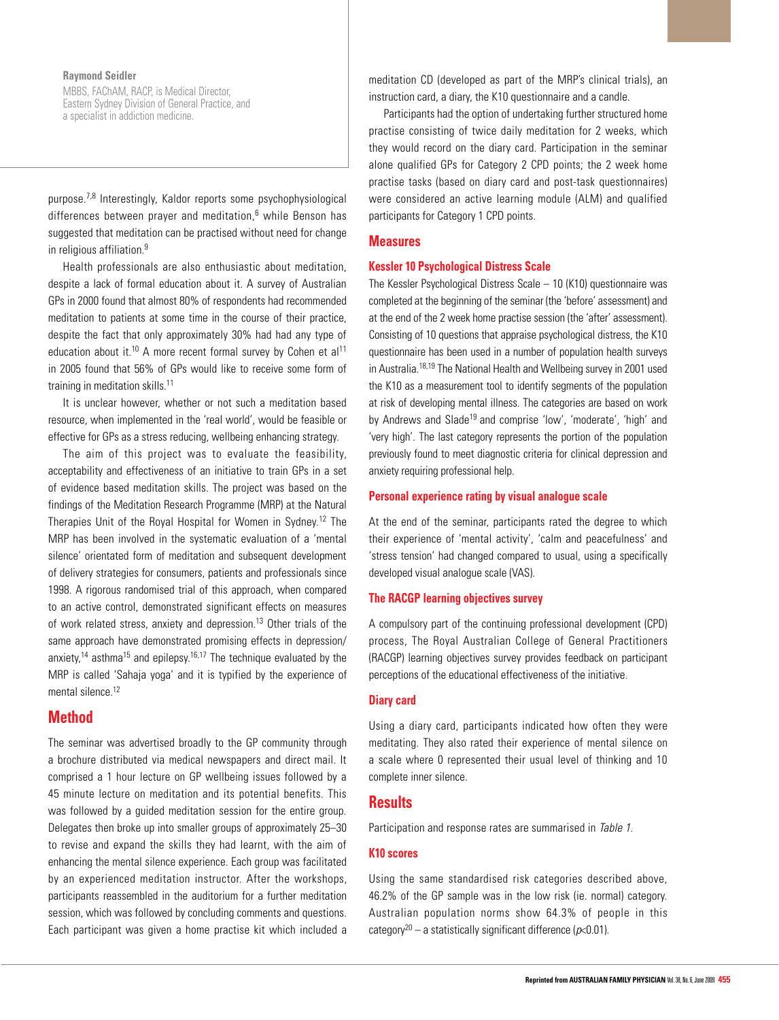## **Raymond Seidler**

MBBS, FAChAM, RACP, is Medical Director, Eastern Sydney Division of General Practice, and a specialist in addiction medicine.

purpose.7,8 Interestingly, Kaldor reports some psychophysiological differences between prayer and meditation, $6$  while Benson has suggested that meditation can be practised without need for change in religious affiliation.<sup>9</sup>

Health professionals are also enthusiastic about meditation, despite a lack of formal education about it. A survey of Australian GPs in 2000 found that almost 80% of respondents had recommended meditation to patients at some time in the course of their practice, despite the fact that only approximately 30% had had any type of education about it.<sup>10</sup> A more recent formal survey by Cohen et al<sup>11</sup> in 2005 found that 56% of GPs would like to receive some form of training in meditation skills.<sup>11</sup>

It is unclear however, whether or not such a meditation based resource, when implemented in the 'real world', would be feasible or effective for GPs as a stress reducing, wellbeing enhancing strategy.

The aim of this project was to evaluate the feasibility, acceptability and effectiveness of an initiative to train GPs in a set of evidence based meditation skills. The project was based on the findings of the Meditation Research Programme (MRP) at the Natural Therapies Unit of the Royal Hospital for Women in Sydney.12 The MRP has been involved in the systematic evaluation of a 'mental silence' orientated form of meditation and subsequent development of delivery strategies for consumers, patients and professionals since 1998. A rigorous randomised trial of this approach, when compared to an active control, demonstrated significant effects on measures of work related stress, anxiety and depression.<sup>13</sup> Other trials of the same approach have demonstrated promising effects in depression/ anxiety,<sup>14</sup> asthma<sup>15</sup> and epilepsy.<sup>16,17</sup> The technique evaluated by the MRP is called 'Sahaja yoga' and it is typified by the experience of mental silence.<sup>12</sup>

# **Method**

The seminar was advertised broadly to the GP community through a brochure distributed via medical newspapers and direct mail. It comprised a 1 hour lecture on GP wellbeing issues followed by a 45 minute lecture on meditation and its potential benefits. This was followed by a guided meditation session for the entire group. Delegates then broke up into smaller groups of approximately 25–30 to revise and expand the skills they had learnt, with the aim of enhancing the mental silence experience. Each group was facilitated by an experienced meditation instructor. After the workshops, participants reassembled in the auditorium for a further meditation session, which was followed by concluding comments and questions. Each participant was given a home practise kit which included a meditation CD (developed as part of the MRP's clinical trials), an instruction card, a diary, the K10 questionnaire and a candle.

Participants had the option of undertaking further structured home practise consisting of twice daily meditation for 2 weeks, which they would record on the diary card. Participation in the seminar alone qualified GPs for Category 2 CPD points; the 2 week home practise tasks (based on diary card and post-task questionnaires) were considered an active learning module (ALM) and qualified participants for Category 1 CPD points.

# **Measures**

#### **Kessler 10 Psychological Distress Scale**

The Kessler Psychological Distress Scale – 10 (K10) questionnaire was completed at the beginning of the seminar (the 'before' assessment) and at the end of the 2 week home practise session (the 'after' assessment). Consisting of 10 questions that appraise psychological distress, the K10 questionnaire has been used in a number of population health surveys in Australia.<sup>18,19</sup> The National Health and Wellbeing survey in 2001 used the K10 as a measurement tool to identify segments of the population at risk of developing mental illness. The categories are based on work by Andrews and Slade<sup>19</sup> and comprise 'low', 'moderate', 'high' and 'very high'. The last category represents the portion of the population previously found to meet diagnostic criteria for clinical depression and anxiety requiring professional help.

# **Personal experience rating by visual analogue scale**

At the end of the seminar, participants rated the degree to which their experience of 'mental activity', 'calm and peacefulness' and 'stress tension' had changed compared to usual, using a specifically developed visual analogue scale (VAS).

#### **The RACGP learning objectives survey**

A compulsory part of the continuing professional development (CPD) process, The Royal Australian College of General Practitioners (RACGP) learning objectives survey provides feedback on participant perceptions of the educational effectiveness of the initiative.

#### **Diary card**

Using a diary card, participants indicated how often they were meditating. They also rated their experience of mental silence on a scale where 0 represented their usual level of thinking and 10 complete inner silence.

# **Results**

Participation and response rates are summarised in Table 1.

## **K10 scores**

Using the same standardised risk categories described above, 46.2% of the GP sample was in the low risk (ie. normal) category. Australian population norms show 64.3% of people in this category<sup>20</sup> – a statistically significant difference ( $p$ <0.01).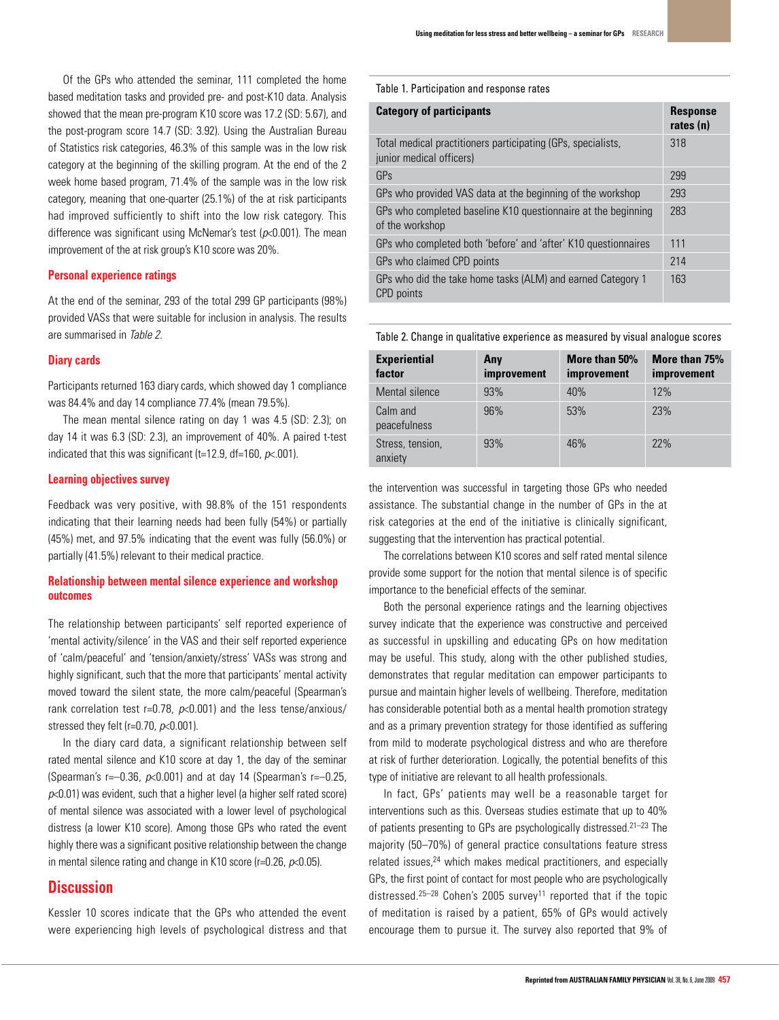Of the GPs who attended the seminar, 111 completed the home based meditation tasks and provided pre- and post-K10 data. Analysis showed that the mean pre-program K10 score was 17.2 (SD: 5.67), and the post-program score 14.7 (SD: 3.92). Using the Australian Bureau of Statistics risk categories, 46.3% of this sample was in the low risk category at the beginning of the skilling program. At the end of the 2 week home based program, 71.4% of the sample was in the low risk category, meaning that one-quarter (25.1%) of the at risk participants had improved sufficiently to shift into the low risk category. This difference was significant using McNemar's test ( $p<0.001$ ). The mean improvement of the at risk group's K10 score was 20%.

#### **Personal experience ratings**

At the end of the seminar, 293 of the total 299 GP participants (98%) provided VASs that were suitable for inclusion in analysis. The results are summarised in Table 2.

## **Diary cards**

Participants returned 163 diary cards, which showed day 1 compliance was 84.4% and day 14 compliance 77.4% (mean 79.5%).

The mean mental silence rating on day 1 was 4.5 (SD: 2.3); on day 14 it was 6.3 (SD: 2.3), an improvement of 40%. A paired t-test indicated that this was significant (t=12.9, df=160,  $p<0$ .001).

#### **Learning objectives survey**

Feedback was very positive, with 98.8% of the 151 respondents indicating that their learning needs had been fully (54%) or partially (45%) met, and 97.5% indicating that the event was fully (56.0%) or partially (41.5%) relevant to their medical practice.

## **Relationship between mental silence experience and workshop outcomes**

The relationship between participants' self reported experience of 'mental activity/silence' in the VAS and their self reported experience of 'calm/peaceful' and 'tension/anxiety/stress' VASs was strong and highly significant, such that the more that participants' mental activity moved toward the silent state, the more calm/peaceful (Spearman's rank correlation test r=0.78,  $p<0.001$ ) and the less tense/anxious/ stressed they felt (r=0.70,  $p$ <0.001).

In the diary card data, a significant relationship between self rated mental silence and K10 score at day 1, the day of the seminar (Spearman's r=-0.36,  $p$ <0.001) and at day 14 (Spearman's r=-0.25,  $p<0.01$ ) was evident, such that a higher level (a higher self rated score) of mental silence was associated with a lower level of psychological distress (a lower K10 score). Among those GPs who rated the event highly there was a significant positive relationship between the change in mental silence rating and change in K10 score ( $r=0.26$ ,  $p<0.05$ ).

# **Discussion**

Kessler 10 scores indicate that the GPs who attended the event were experiencing high levels of psychological distress and that Table 1. Participation and response rates

| <b>Category of participants</b>                                                          | <b>Response</b><br>rates (n) |
|------------------------------------------------------------------------------------------|------------------------------|
| Total medical practitioners participating (GPs, specialists,<br>junior medical officers) | 318                          |
| GPs                                                                                      | 299                          |
| GPs who provided VAS data at the beginning of the workshop                               | 293                          |
| GPs who completed baseline K10 questionnaire at the beginning<br>of the workshop         | 283                          |
| GPs who completed both 'before' and 'after' K10 questionnaires                           | 111                          |
| GPs who claimed CPD points                                                               | 214                          |
| GPs who did the take home tasks (ALM) and earned Category 1<br>CPD points                | 163                          |
|                                                                                          |                              |

Table 2. Change in qualitative experience as measured by visual analogue scores

| <b>Experiential</b><br>factor | Any<br>improvement | More than 50%<br>improvement | More than 75%<br>improvement |
|-------------------------------|--------------------|------------------------------|------------------------------|
| Mental silence                | 93%                | 40%                          | 12%                          |
| Calm and<br>peacefulness      | 96%                | 53%                          | 23%                          |
| Stress, tension,<br>anxiety   | 93%                | 46%                          | 22%                          |

the intervention was successful in targeting those GPs who needed assistance. The substantial change in the number of GPs in the at risk categories at the end of the initiative is clinically significant, suggesting that the intervention has practical potential.

The correlations between K10 scores and self rated mental silence provide some support for the notion that mental silence is of specific importance to the beneficial effects of the seminar.

Both the personal experience ratings and the learning objectives survey indicate that the experience was constructive and perceived as successful in upskilling and educating GPs on how meditation may be useful. This study, along with the other published studies, demonstrates that regular meditation can empower participants to pursue and maintain higher levels of wellbeing. Therefore, meditation has considerable potential both as a mental health promotion strategy and as a primary prevention strategy for those identified as suffering from mild to moderate psychological distress and who are therefore at risk of further deterioration. Logically, the potential benefits of this type of initiative are relevant to all health professionals.

In fact, GPs' patients may well be a reasonable target for interventions such as this. Overseas studies estimate that up to 40% of patients presenting to GPs are psychologically distressed.<sup>21-23</sup> The majority (50–70%) of general practice consultations feature stress related issues,<sup>24</sup> which makes medical practitioners, and especially GPs, the first point of contact for most people who are psychologically distressed.<sup>25-28</sup> Cohen's 2005 survey<sup>11</sup> reported that if the topic of meditation is raised by a patient, 65% of GPs would actively encourage them to pursue it. The survey also reported that 9% of